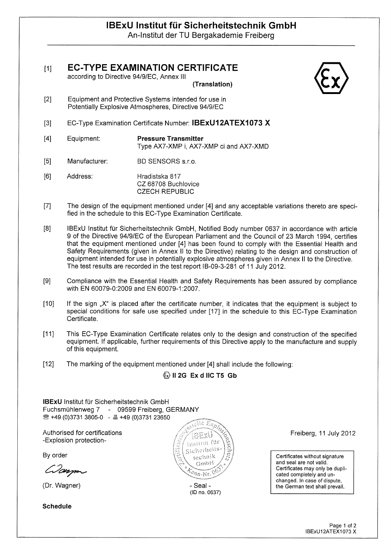# IBExU Institut für Sicherheitstechnik GmbH An-Institut der TU Bergakademie Freiberg

[1] EC-TYPE EXAMINATION CERTIFICATE

according to Directive 94191EC, Annex III

(Transiation)

- [2] Equipment and Protective Systems intended for use in Potentially Explosive Atmospheres, Directive 94/9/EC
- [3] EC-Type Examination Certificate Number: IBExU12ATEX1073 X
- [4] Equipment: Pressure Transmitter Type AX7-XMP i, AX7-XMP ci and AX7-XMD
- [5] Manufacturer: BD SENSORS s.r.o.
- [6] Address: Hradistska 817 CZ 68708 Buchlovice **CZECH REPUBLIC**
- [7] The design of the equipment mentioned under [4] and any acceptable variations thereto are speci fied in the schedule to this EC-Type Examination Certificate.
- [8] IBExU Institut für Sicherheitstechnik GmbH, Notified Body number 0637 in accordance with article 9 of the Directive 94191EC of the European Parliament and the Council of 23 March 1994, certifies that the equipment mentioned under [4] has been found to comply with the Essential Health and Safety Requirements (given in Annex II to the Directive) relating to the design and construction of equipment intended for use in potentially explosive atmospheres given in Annex II to the Directive. The test results are recorded in the test report lB-09-3-281 of 11 July 2012.
- [9] Compliance with the Essential Health and Safety Requirements has been assured by compliance with EN 60079-0:2009 and EN 60079-1:2007.
- [10] If the sign "X" is placed after the certificate number, it indicates that the equipment is subject to special conditions for safe use specified under [17] in the schedule to this EC-Type Examination Certificate.
- [11] This EC-Type Examination Certificate relates only to the design and construction of the specified equipment. If applicable, further requirements of this Directive apply to the manufacture and supply of this equipment.
- [12] The marking of the equipment mentioned under [4] shall include the following:

## $\langle \overline{x} \rangle$  II 2G Ex d IIC T5 Gb

IBExU Institut für Sicherheitstechnik GmbH Fuchsmühlenweg 7 - 09599 Freiberg, GERMANY  $\circledR$  +49 (0)3731 3805-0 -  $\circledR$  +49 (0)3731 23650

Authorised for certifications -Explosion protection

By order

Wayne

(Dr. Wagner)

Schedule



(ID no. 0637)

Freiberg, 11 July 2012

certificates without signature and seal are not valld. certificates may only be dupli cated completely and un changed. In case of dispute, the German text shall prevail.